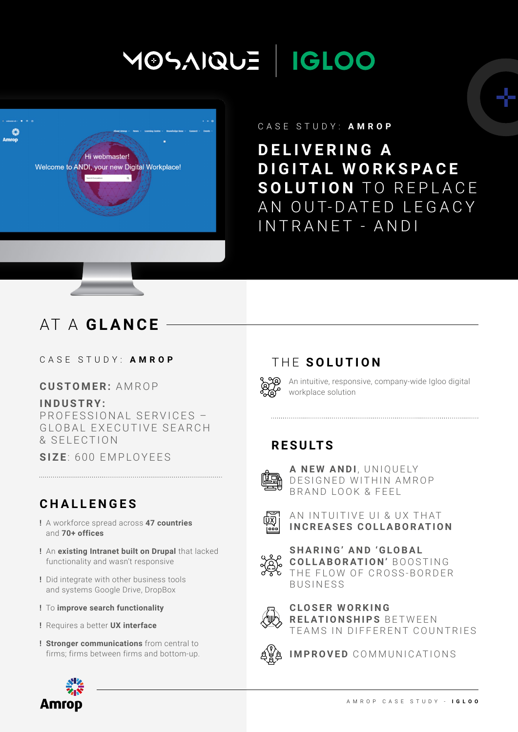# **IGLOO** MOSAIQUE



#### CASE STUDY: **AMROP**

**D E L I V E R I N G A D I G I TA L W O R K S PA C E SOLUTION TO REPLACE** AN OUT-DATED LEGACY INTRANET - ANDI

# AT A **GLANCE**

#### CASE STUDY: **AMROP**

#### **CUSTOMER:** AMROP

#### **I N D U S T R Y :**

PROFESSIONAL SERVICES -GLOBAL EXECUTIVE SEARCH & SELECTION

**SIZE**: 600 EMPLOYEES

## **CHALLENGES**

- **!** A workforce spread across **47 countries** and **70+ offices**
- **!** An **existing Intranet built on Drupal** that lacked functionality and wasn't responsive
- **!** Did integrate with other business tools and systems Google Drive, DropBox
- **!** To **improve search functionality**
- **!** Requires a better **UX interface**
- **! Stronger communications** from central to firms; firms between firms and bottom-up.



An intuitive, responsive, company-wide Igloo digital workplace solution

## **RESULTS**



**A NEW ANDI, UNIQUELY** DESIGNED WITHIN AMROP B R A N D LOOK & F F F L



AN INTUITIVE UI & UX THAT **INCREASES COLLABORATION**



SHARING' AND 'GLOBAL **COLLABORATION' BOOSTING** THE FLOW OF CROSS-BORDER BUSINESS



**C LO S E R W O R K I N G RELATIONSHIPS BETWEEN** TEAMS IN DIFFERENT COUNTRIES



**IMPROVED** COMMUNICATIONS

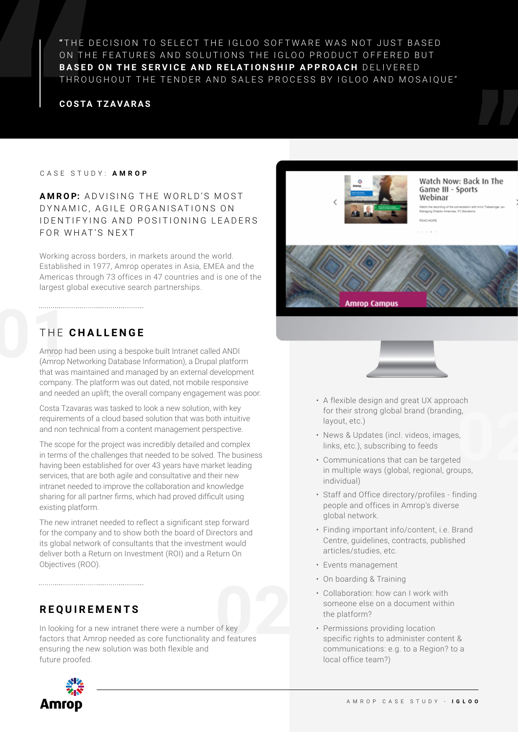"THE DECISION TO SELECT THE IGLOO SOFTWARE WAS NOT JUST BASED ON THE FEATURES AND SOLUTIONS THE IGLOO PRODUCT OFFERED BUT **BASED ON THE SERVICE AND RELATIONSHIP APPROACH** DELIVERED THROUGHOUT THE TENDER AND SALES PROCESS BY IGLOO AND MOSAIQUE"

#### **COSTA TZAVARAS**

#### CASE STUDY: **AMROP**

#### **AMROP:** ADVISING THE WORLD'S MOST DYNAMIC, AGILE ORGANISATIONS ON I DENTIFYING AND POSITIONING LEADERS FOR WHAT'S NEXT

Working across borders, in markets around the world. Established in 1977, Amrop operates in Asia, EMEA and the Americas through 73 offices in 47 countries and is one of the largest global executive search partnerships.

# THE **CHALLENGE**

THE<br>Amroph<br>(Amroph Amrop had been using a bespoke built Intranet called ANDI (Amrop Networking Database Information), a Drupal platform that was maintained and managed by an external development company. The platform was out dated, not mobile responsive and needed an uplift; the overall company engagement was poor.

> Costa Tzavaras was tasked to look a new solution, with key requirements of a cloud based solution that was both intuitive and non technical from a content management perspective.

The scope for the project was incredibly detailed and complex in terms of the challenges that needed to be solved. The business having been established for over 43 years have market leading services, that are both agile and consultative and their new intranet needed to improve the collaboration and knowledge sharing for all partner firms, which had proved difficult using existing platform.

The new intranet needed to reflect a significant step forward for the company and to show both the board of Directors and its global network of consultants that the investment would deliver both a Return on Investment (ROI) and a Return On Objectives (ROO).

### **REQUIREMENTS**

of key<br>
nd features In looking for a new intranet there were a number of key factors that Amrop needed as core functionality and features ensuring the new solution was both flexible and future proofed.





Watch Now: Back In The Game III - Sports Webinar

C DTITOT<br>hithe recording of the conversal<br>ging Director Americas, FC Ba **READ MORE** 





- A flexible design and great UX approach for their strong global brand (branding, layout, etc.)
- News & Updates (incl. videos, images, links, etc.), subscribing to feeds
- **g**,<br>s,<br>**d**<br>pups, • Communications that can be targeted in multiple ways (global, regional, groups, individual)
- Staff and Office directory/profiles finding people and offices in Amrop's diverse global network.
- Finding important info/content, i.e. Brand Centre, guidelines, contracts, published articles/studies, etc.
- Events management
- On boarding & Training
- Collaboration: how can I work with someone else on a document within the platform?
- Permissions providing location specific rights to administer content & communications: e.g. to a Region? to a local office team?)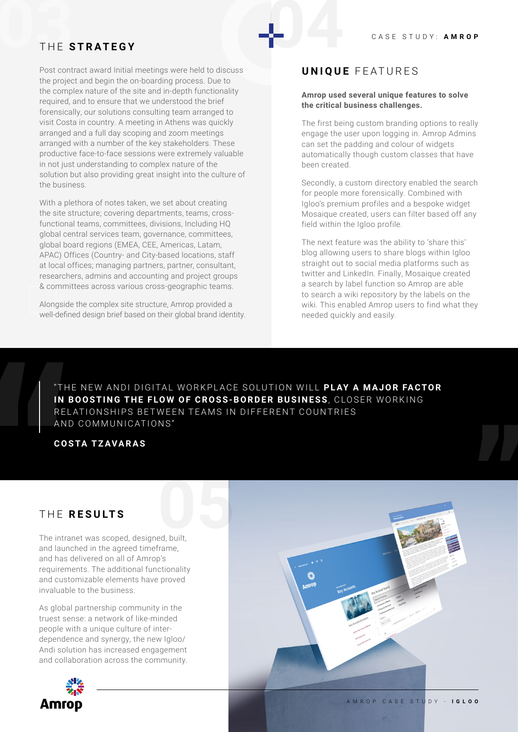# THE STRATEGY THE **STRATEGY**

Post contract award Initial meetings were held to discuss the project and begin the on-boarding process. Due to the complex nature of the site and in-depth functionality required, and to ensure that we understood the brief forensically, our solutions consulting team arranged to visit Costa in country. A meeting in Athens was quickly arranged and a full day scoping and zoom meetings arranged with a number of the key stakeholders. These productive face-to-face sessions were extremely valuable in not just understanding to complex nature of the solution but also providing great insight into the culture of the business.

With a plethora of notes taken, we set about creating the site structure; covering departments, teams, crossfunctional teams, committees, divisions, Including HQ global central services team, governance, committees, global board regions (EMEA, CEE, Americas, Latam, APAC) Offices (Country- and City-based locations, staff at local offices; managing partners, partner, consultant, researchers, admins and accounting and project groups & committees across various cross-geographic teams.

Alongside the complex site structure, Amrop provided a well-defined design brief based on their global brand identity.

#### **UNIQUE** FEATURES

#### **Amrop used several unique features to solve the critical business challenges.**

The first being custom branding options to really engage the user upon logging in. Amrop Admins can set the padding and colour of widgets automatically though custom classes that have been created.

Secondly, a custom directory enabled the search for people more forensically. Combined with Igloo's premium profiles and a bespoke widget Mosaique created, users can filter based off any field within the Igloo profile.

The next feature was the ability to 'share this' blog allowing users to share blogs within Igloo straight out to social media platforms such as twitter and LinkedIn. Finally, Mosaique created a search by label function so Amrop are able to search a wiki repository by the labels on the wiki. This enabled Amrop users to find what they needed quickly and easily.

"THE NEW ANDI DIGITAL WORKPLACE SOLUTION WILL PLAY A MAJOR FACTOR IN BOOSTING THE FLOW OF CROSS-BORDER BUSINESS, CLOSER WORKING RELATIONSHIPS BETWEEN TEAMS IN DIFFERENT COUNTRIES AND COMMUNICATIONS"

#### **COSTA TZAVARAS**

The intranet was scoped, designed, built, THE **RESULTS**<br>The intranet was scoped, designed, built, and launched in the agreed timeframe, and has delivered on all of Amrop's requirements. The additional functionality and customizable elements have proved invaluable to the business.

As global partnership community in the truest sense: a network of like-minded people with a unique culture of interdependence and synergy, the new Igloo/ Andi solution has increased engagement and collaboration across the community.